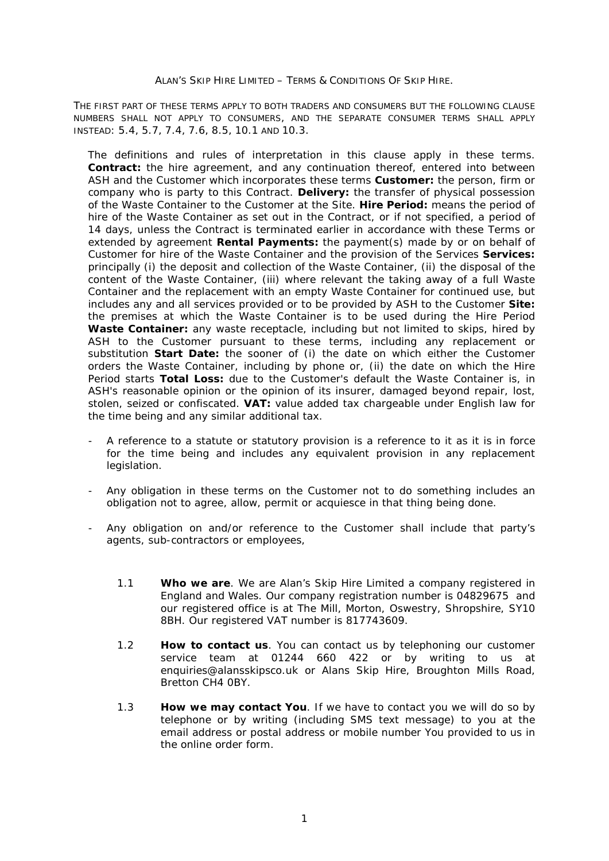THE FIRST PART OF THESE TERMS APPLY TO BOTH TRADERS AND CONSUMERS BUT THE FOLLOWING CLAUSE NUMBERS SHALL NOT APPLY TO CONSUMERS, AND THE SEPARATE CONSUMER TERMS SHALL APPLY INSTEAD: 5.4, 5.7, 7.4, 7.6, 8.5, 10.1 AND 10.3.

The definitions and rules of interpretation in this clause apply in these terms. **Contract:** the hire agreement, and any continuation thereof, entered into between ASH and the Customer which incorporates these terms **Customer:** the person, firm or company who is party to this Contract. **Delivery:** the transfer of physical possession of the Waste Container to the Customer at the Site. **Hire Period:** means the period of hire of the Waste Container as set out in the Contract, or if not specified, a period of 14 days, unless the Contract is terminated earlier in accordance with these Terms or extended by agreement **Rental Payments:** the payment(s) made by or on behalf of Customer for hire of the Waste Container and the provision of the Services **Services:** principally (i) the deposit and collection of the Waste Container, (ii) the disposal of the content of the Waste Container, (iii) where relevant the taking away of a full Waste Container and the replacement with an empty Waste Container for continued use, but includes any and all services provided or to be provided by ASH to the Customer **Site:** the premises at which the Waste Container is to be used during the Hire Period **Waste Container:** any waste receptacle, including but not limited to skips, hired by ASH to the Customer pursuant to these terms, including any replacement or substitution **Start Date:** the sooner of (i) the date on which either the Customer orders the Waste Container, including by phone or, (ii) the date on which the Hire Period starts **Total Loss:** due to the Customer's default the Waste Container is, in ASH's reasonable opinion or the opinion of its insurer, damaged beyond repair, lost, stolen, seized or confiscated. **VAT:** value added tax chargeable under English law for the time being and any similar additional tax.

- A reference to a statute or statutory provision is a reference to it as it is in force for the time being and includes any equivalent provision in any replacement legislation.
- Any obligation in these terms on the Customer not to do something includes an obligation not to agree, allow, permit or acquiesce in that thing being done.
- Any obligation on and/or reference to the Customer shall include that party's agents, sub-contractors or employees,
	- 1.1 **Who we are**. We are Alan's Skip Hire Limited a company registered in England and Wales. Our company registration number is 04829675 and our registered office is at The Mill, Morton, Oswestry, Shropshire, SY10 8BH. Our registered VAT number is 817743609.
	- 1.2 **How to contact us**. You can contact us by telephoning our customer service team at 01244 660 422 or by writing to us at [enquiries@alansskipsco.uk](mailto:enquiries@alansskipsco.uk) or Alans Skip Hire, Broughton Mills Road, Bretton CH4 0BY.
	- 1.3 **How we may contact You**. If we have to contact you we will do so by telephone or by writing (including SMS text message) to you at the email address or postal address or mobile number You provided to us in the online order form.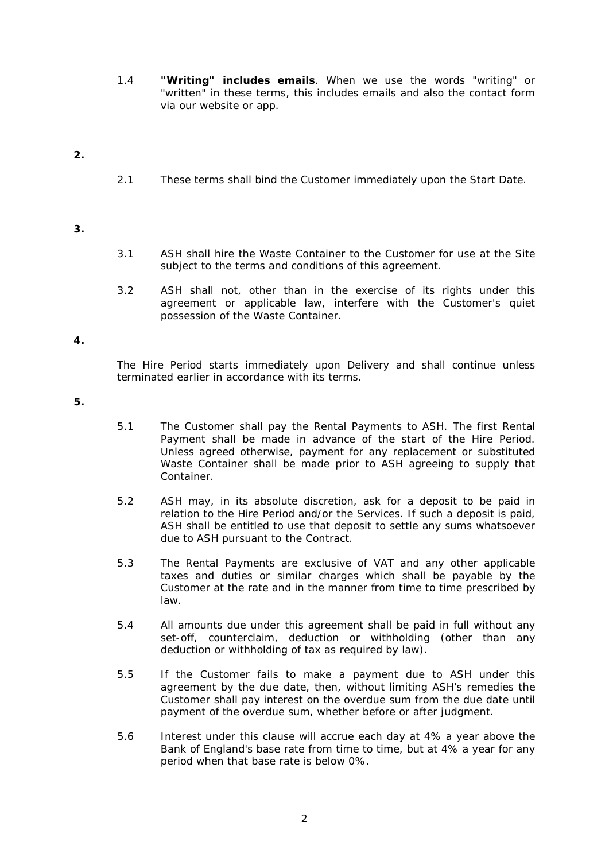1.4 **"Writing" includes emails**. When we use the words "writing" or "written" in these terms, this includes emails and also the contact form via our website or app.

# **2.**

2.1 These terms shall bind the Customer immediately upon the Start Date.

# **3.**

- 3.1 ASH shall hire the Waste Container to the Customer for use at the Site subject to the terms and conditions of this agreement.
- 3.2 ASH shall not, other than in the exercise of its rights under this agreement or applicable law, interfere with the Customer's quiet possession of the Waste Container.

## **4.**

The Hire Period starts immediately upon Delivery and shall continue unless terminated earlier in accordance with its terms.

- 5.1 The Customer shall pay the Rental Payments to ASH. The first Rental Payment shall be made in advance of the start of the Hire Period. Unless agreed otherwise, payment for any replacement or substituted Waste Container shall be made prior to ASH agreeing to supply that Container.
- 5.2 ASH may, in its absolute discretion, ask for a deposit to be paid in relation to the Hire Period and/or the Services. If such a deposit is paid, ASH shall be entitled to use that deposit to settle any sums whatsoever due to ASH pursuant to the Contract.
- 5.3 The Rental Payments are exclusive of VAT and any other applicable taxes and duties or similar charges which shall be payable by the Customer at the rate and in the manner from time to time prescribed by law.
- 5.4 All amounts due under this agreement shall be paid in full without any set-off, counterclaim, deduction or withholding (other than any deduction or withholding of tax as required by law).
- 5.5 If the Customer fails to make a payment due to ASH under this agreement by the due date, then, without limiting ASH's remedies the Customer shall pay interest on the overdue sum from the due date until payment of the overdue sum, whether before or after judgment.
- 5.6 Interest under this clause will accrue each day at 4% a year above the Bank of England's base rate from time to time, but at 4% a year for any period when that base rate is below 0%.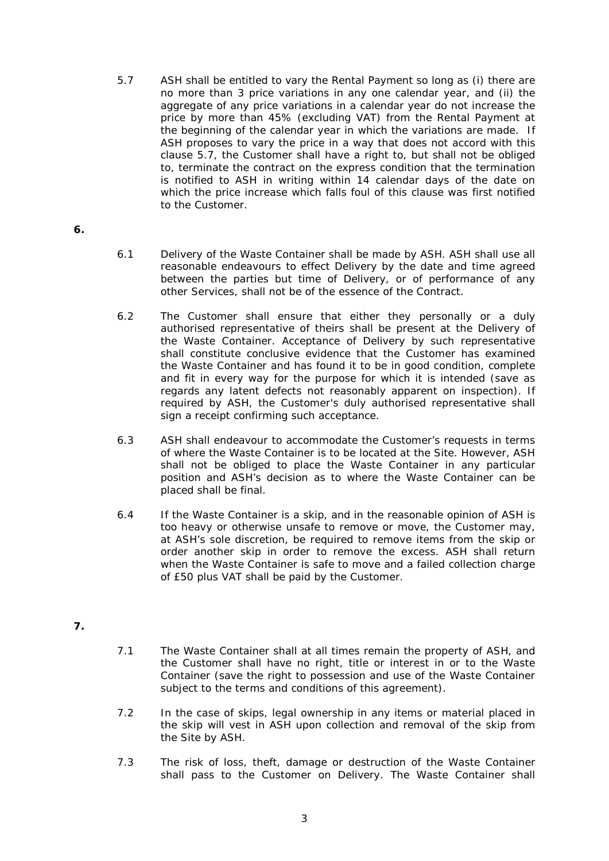- 5.7 ASH shall be entitled to vary the Rental Payment so long as (i) there are no more than 3 price variations in any one calendar year, and (ii) the aggregate of any price variations in a calendar year do not increase the price by more than 45% (excluding VAT) from the Rental Payment at the beginning of the calendar year in which the variations are made. If ASH proposes to vary the price in a way that does not accord with this clause 5.7, the Customer shall have a right to, but shall not be obliged to, terminate the contract on the express condition that the termination is notified to ASH in writing within 14 calendar days of the date on which the price increase which falls foul of this clause was first notified to the Customer.
- **6.**
- 6.1 Delivery of the Waste Container shall be made by ASH. ASH shall use all reasonable endeavours to effect Delivery by the date and time agreed between the parties but time of Delivery, or of performance of any other Services, shall not be of the essence of the Contract.
- 6.2 The Customer shall ensure that either they personally or a duly authorised representative of theirs shall be present at the Delivery of the Waste Container. Acceptance of Delivery by such representative shall constitute conclusive evidence that the Customer has examined the Waste Container and has found it to be in good condition, complete and fit in every way for the purpose for which it is intended (save as regards any latent defects not reasonably apparent on inspection). If required by ASH, the Customer's duly authorised representative shall sign a receipt confirming such acceptance.
- 6.3 ASH shall endeavour to accommodate the Customer's requests in terms of where the Waste Container is to be located at the Site. However, ASH shall not be obliged to place the Waste Container in any particular position and ASH's decision as to where the Waste Container can be placed shall be final.
- 6.4 If the Waste Container is a skip, and in the reasonable opinion of ASH is too heavy or otherwise unsafe to remove or move, the Customer may, at ASH's sole discretion, be required to remove items from the skip or order another skip in order to remove the excess. ASH shall return when the Waste Container is safe to move and a failed collection charge of £50 plus VAT shall be paid by the Customer.
- **7.**
- 7.1 The Waste Container shall at all times remain the property of ASH, and the Customer shall have no right, title or interest in or to the Waste Container (save the right to possession and use of the Waste Container subject to the terms and conditions of this agreement).
- 7.2 In the case of skips, legal ownership in any items or material placed in the skip will vest in ASH upon collection and removal of the skip from the Site by ASH.
- 7.3 The risk of loss, theft, damage or destruction of the Waste Container shall pass to the Customer on Delivery. The Waste Container shall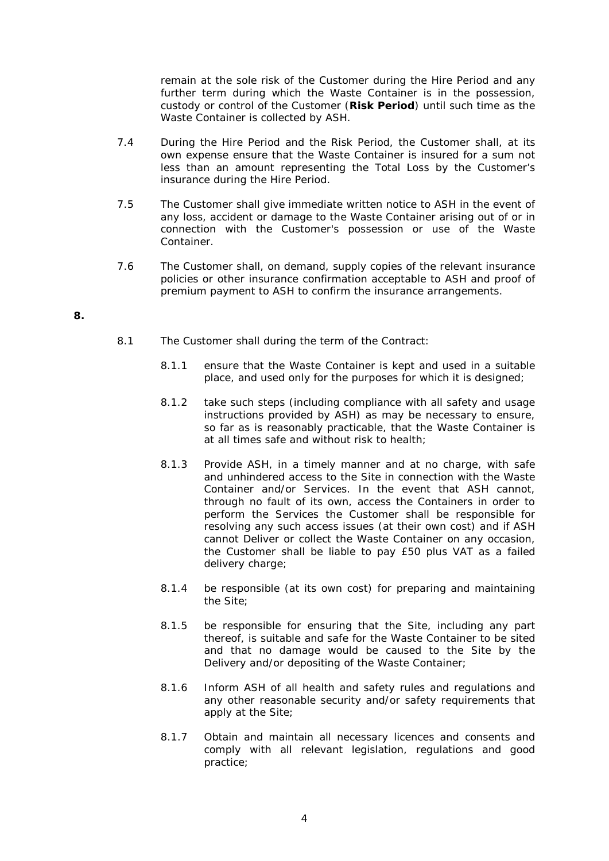remain at the sole risk of the Customer during the Hire Period and any further term during which the Waste Container is in the possession, custody or control of the Customer (**Risk Period**) until such time as the Waste Container is collected by ASH.

- 7.4 During the Hire Period and the Risk Period, the Customer shall, at its own expense ensure that the Waste Container is insured for a sum not less than an amount representing the Total Loss by the Customer's insurance during the Hire Period.
- 7.5 The Customer shall give immediate written notice to ASH in the event of any loss, accident or damage to the Waste Container arising out of or in connection with the Customer's possession or use of the Waste Container.
- 7.6 The Customer shall, on demand, supply copies of the relevant insurance policies or other insurance confirmation acceptable to ASH and proof of premium payment to ASH to confirm the insurance arrangements.

- 8.1 The Customer shall during the term of the Contract:
	- 8.1.1 ensure that the Waste Container is kept and used in a suitable place, and used only for the purposes for which it is designed;
	- 8.1.2 take such steps (including compliance with all safety and usage instructions provided by ASH) as may be necessary to ensure, so far as is reasonably practicable, that the Waste Container is at all times safe and without risk to health;
	- 8.1.3 Provide ASH, in a timely manner and at no charge, with safe and unhindered access to the Site in connection with the Waste Container and/or Services. In the event that ASH cannot, through no fault of its own, access the Containers in order to perform the Services the Customer shall be responsible for resolving any such access issues (at their own cost) and if ASH cannot Deliver or collect the Waste Container on any occasion, the Customer shall be liable to pay £50 plus VAT as a failed delivery charge;
	- 8.1.4 be responsible (at its own cost) for preparing and maintaining the Site;
	- 8.1.5 be responsible for ensuring that the Site, including any part thereof, is suitable and safe for the Waste Container to be sited and that no damage would be caused to the Site by the Delivery and/or depositing of the Waste Container;
	- 8.1.6 Inform ASH of all health and safety rules and regulations and any other reasonable security and/or safety requirements that apply at the Site;
	- 8.1.7 Obtain and maintain all necessary licences and consents and comply with all relevant legislation, regulations and good practice;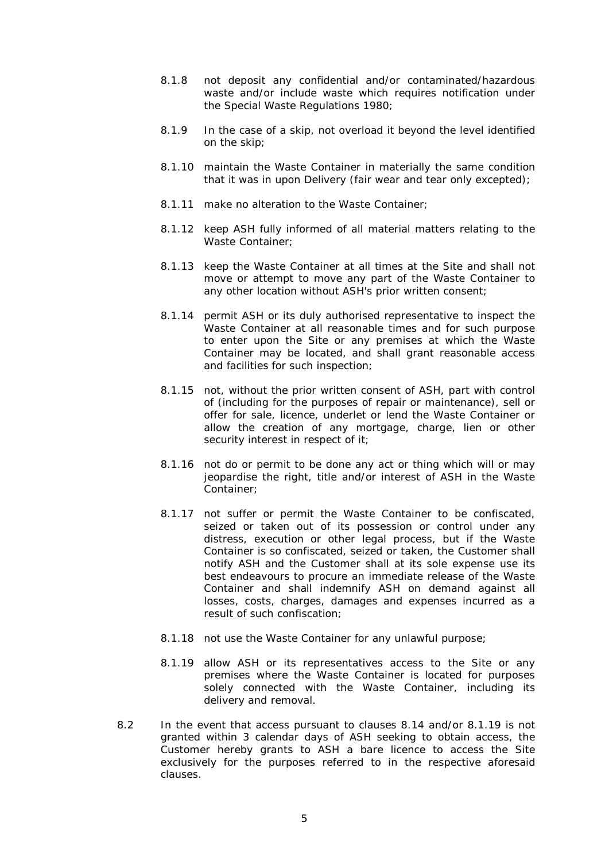- 8.1.8 not deposit any confidential and/or contaminated/hazardous waste and/or include waste which requires notification under the Special Waste Regulations 1980;
- 8.1.9 In the case of a skip, not overload it beyond the level identified on the skip;
- 8.1.10 maintain the Waste Container in materially the same condition that it was in upon Delivery (fair wear and tear only excepted);
- 8.1.11 make no alteration to the Waste Container;
- 8.1.12 keep ASH fully informed of all material matters relating to the Waste Container;
- 8.1.13 keep the Waste Container at all times at the Site and shall not move or attempt to move any part of the Waste Container to any other location without ASH's prior written consent;
- 8.1.14 permit ASH or its duly authorised representative to inspect the Waste Container at all reasonable times and for such purpose to enter upon the Site or any premises at which the Waste Container may be located, and shall grant reasonable access and facilities for such inspection;
- 8.1.15 not, without the prior written consent of ASH, part with control of (including for the purposes of repair or maintenance), sell or offer for sale, licence, underlet or lend the Waste Container or allow the creation of any mortgage, charge, lien or other security interest in respect of it;
- 8.1.16 not do or permit to be done any act or thing which will or may jeopardise the right, title and/or interest of ASH in the Waste Container;
- 8.1.17 not suffer or permit the Waste Container to be confiscated, seized or taken out of its possession or control under any distress, execution or other legal process, but if the Waste Container is so confiscated, seized or taken, the Customer shall notify ASH and the Customer shall at its sole expense use its best endeavours to procure an immediate release of the Waste Container and shall indemnify ASH on demand against all losses, costs, charges, damages and expenses incurred as a result of such confiscation;
- 8.1.18 not use the Waste Container for any unlawful purpose;
- 8.1.19 allow ASH or its representatives access to the Site or any premises where the Waste Container is located for purposes solely connected with the Waste Container, including its delivery and removal.
- 8.2 In the event that access pursuant to clauses 8.14 and/or 8.1.19 is not granted within 3 calendar days of ASH seeking to obtain access, the Customer hereby grants to ASH a bare licence to access the Site exclusively for the purposes referred to in the respective aforesaid clauses.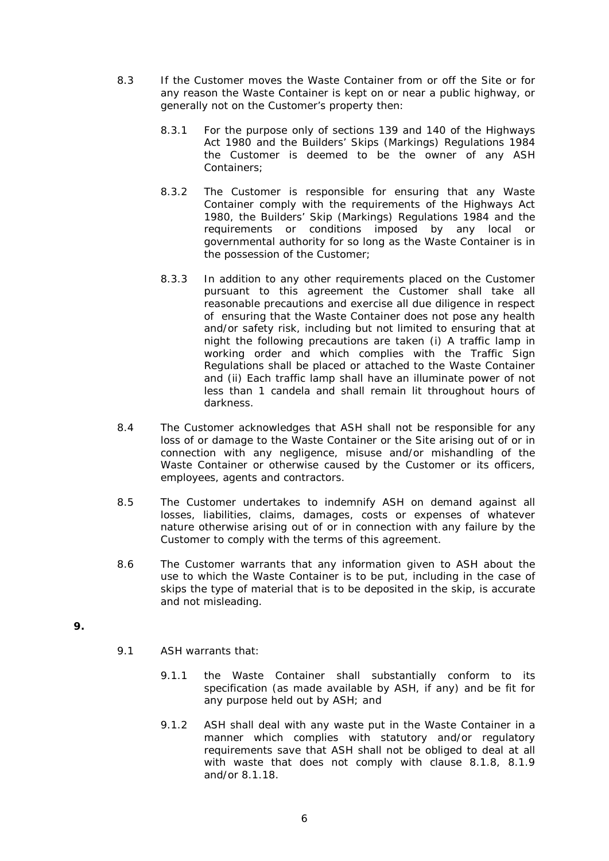- 8.3 If the Customer moves the Waste Container from or off the Site or for any reason the Waste Container is kept on or near a public highway, or generally not on the Customer's property then:
	- 8.3.1 For the purpose only of sections 139 and 140 of the Highways Act 1980 and the Builders' Skips (Markings) Regulations 1984 the Customer is deemed to be the owner of any ASH Containers;
	- 8.3.2 The Customer is responsible for ensuring that any Waste Container comply with the requirements of the Highways Act 1980, the Builders' Skip (Markings) Regulations 1984 and the requirements or conditions imposed by any local or governmental authority for so long as the Waste Container is in the possession of the Customer;
	- 8.3.3 In addition to any other requirements placed on the Customer pursuant to this agreement the Customer shall take all reasonable precautions and exercise all due diligence in respect of ensuring that the Waste Container does not pose any health and/or safety risk, including but not limited to ensuring that at night the following precautions are taken (i) A traffic lamp in working order and which complies with the Traffic Sign Regulations shall be placed or attached to the Waste Container and (ii) Each traffic lamp shall have an illuminate power of not less than 1 candela and shall remain lit throughout hours of darkness.
- 8.4 The Customer acknowledges that ASH shall not be responsible for any loss of or damage to the Waste Container or the Site arising out of or in connection with any negligence, misuse and/or mishandling of the Waste Container or otherwise caused by the Customer or its officers, employees, agents and contractors.
- 8.5 The Customer undertakes to indemnify ASH on demand against all losses, liabilities, claims, damages, costs or expenses of whatever nature otherwise arising out of or in connection with any failure by the Customer to comply with the terms of this agreement.
- 8.6 The Customer warrants that any information given to ASH about the use to which the Waste Container is to be put, including in the case of skips the type of material that is to be deposited in the skip, is accurate and not misleading.

- 9.1 ASH warrants that:
	- 9.1.1 the Waste Container shall substantially conform to its specification (as made available by ASH, if any) and be fit for any purpose held out by ASH; and
	- 9.1.2 ASH shall deal with any waste put in the Waste Container in a manner which complies with statutory and/or regulatory requirements save that ASH shall not be obliged to deal at all with waste that does not comply with clause 8.1.8, 8.1.9 and/or 8.1.18.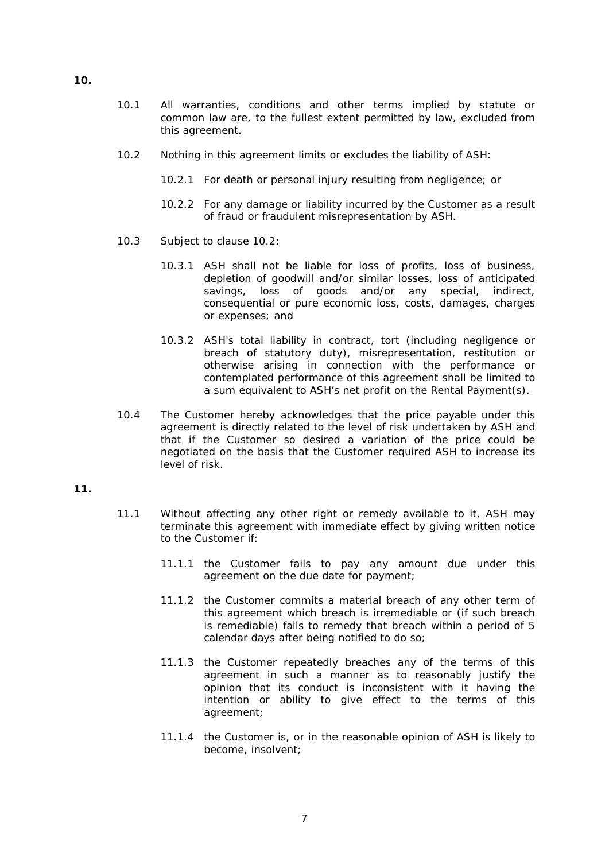- 10.1 All warranties, conditions and other terms implied by statute or common law are, to the fullest extent permitted by law, excluded from this agreement.
- 10.2 Nothing in this agreement limits or excludes the liability of ASH:
	- 10.2.1 For death or personal injury resulting from negligence; or
	- 10.2.2 For any damage or liability incurred by the Customer as a result of fraud or fraudulent misrepresentation by ASH.
- 10.3 Subject to clause 10.2:
	- 10.3.1 ASH shall not be liable for loss of profits, loss of business, depletion of goodwill and/or similar losses, loss of anticipated savings, loss of goods and/or any special, indirect, consequential or pure economic loss, costs, damages, charges or expenses; and
	- 10.3.2 ASH's total liability in contract, tort (including negligence or breach of statutory duty), misrepresentation, restitution or otherwise arising in connection with the performance or contemplated performance of this agreement shall be limited to a sum equivalent to ASH's net profit on the Rental Payment(s).
- 10.4 The Customer hereby acknowledges that the price payable under this agreement is directly related to the level of risk undertaken by ASH and that if the Customer so desired a variation of the price could be negotiated on the basis that the Customer required ASH to increase its level of risk.

### **11.**

- 11.1 Without affecting any other right or remedy available to it, ASH may terminate this agreement with immediate effect by giving written notice to the Customer if:
	- 11.1.1 the Customer fails to pay any amount due under this agreement on the due date for payment;
	- 11.1.2 the Customer commits a material breach of any other term of this agreement which breach is irremediable or (if such breach is remediable) fails to remedy that breach within a period of 5 calendar days after being notified to do so;
	- 11.1.3 the Customer repeatedly breaches any of the terms of this agreement in such a manner as to reasonably justify the opinion that its conduct is inconsistent with it having the intention or ability to give effect to the terms of this agreement;
	- 11.1.4 the Customer is, or in the reasonable opinion of ASH is likely to become, insolvent;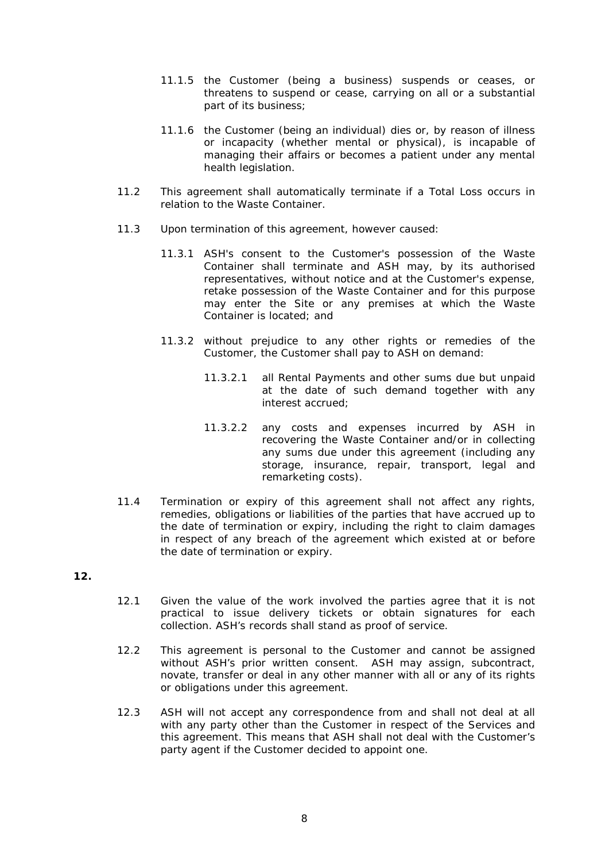- 11.1.5 the Customer (being a business) suspends or ceases, or threatens to suspend or cease, carrying on all or a substantial part of its business;
- 11.1.6 the Customer (being an individual) dies or, by reason of illness or incapacity (whether mental or physical), is incapable of managing their affairs or becomes a patient under any mental health legislation.
- 11.2 This agreement shall automatically terminate if a Total Loss occurs in relation to the Waste Container.
- 11.3 Upon termination of this agreement, however caused:
	- 11.3.1 ASH's consent to the Customer's possession of the Waste Container shall terminate and ASH may, by its authorised representatives, without notice and at the Customer's expense, retake possession of the Waste Container and for this purpose may enter the Site or any premises at which the Waste Container is located; and
	- 11.3.2 without prejudice to any other rights or remedies of the Customer, the Customer shall pay to ASH on demand:
		- 11.3.2.1 all Rental Payments and other sums due but unpaid at the date of such demand together with any interest accrued;
		- 11.3.2.2 any costs and expenses incurred by ASH in recovering the Waste Container and/or in collecting any sums due under this agreement (including any storage, insurance, repair, transport, legal and remarketing costs).
- 11.4 Termination or expiry of this agreement shall not affect any rights, remedies, obligations or liabilities of the parties that have accrued up to the date of termination or expiry, including the right to claim damages in respect of any breach of the agreement which existed at or before the date of termination or expiry.

- 12.1 Given the value of the work involved the parties agree that it is not practical to issue delivery tickets or obtain signatures for each collection. ASH's records shall stand as proof of service.
- 12.2 This agreement is personal to the Customer and cannot be assigned without ASH's prior written consent. ASH may assign, subcontract, novate, transfer or deal in any other manner with all or any of its rights or obligations under this agreement.
- 12.3 ASH will not accept any correspondence from and shall not deal at all with any party other than the Customer in respect of the Services and this agreement. This means that ASH shall not deal with the Customer's party agent if the Customer decided to appoint one.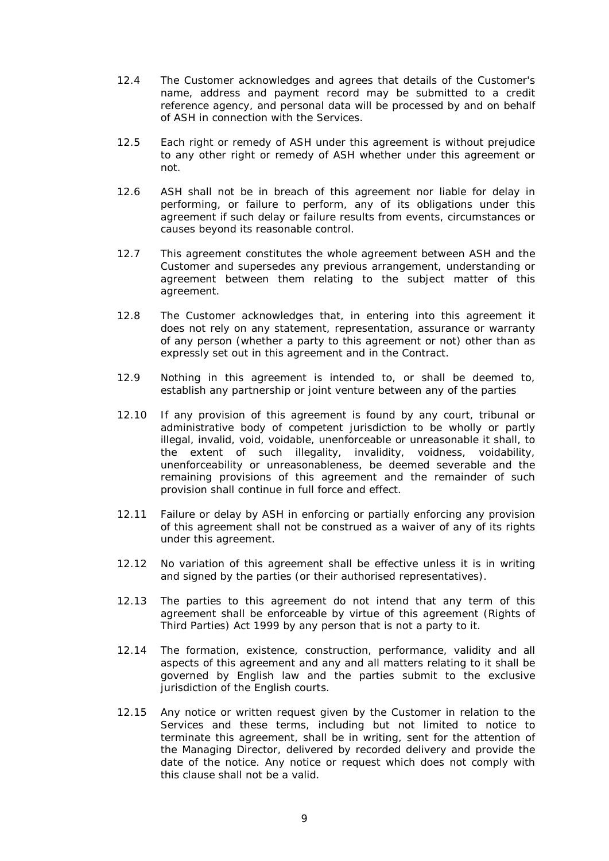- 12.4 The Customer acknowledges and agrees that details of the Customer's name, address and payment record may be submitted to a credit reference agency, and personal data will be processed by and on behalf of ASH in connection with the Services.
- 12.5 Each right or remedy of ASH under this agreement is without prejudice to any other right or remedy of ASH whether under this agreement or not.
- 12.6 ASH shall not be in breach of this agreement nor liable for delay in performing, or failure to perform, any of its obligations under this agreement if such delay or failure results from events, circumstances or causes beyond its reasonable control.
- 12.7 This agreement constitutes the whole agreement between ASH and the Customer and supersedes any previous arrangement, understanding or agreement between them relating to the subject matter of this agreement.
- 12.8 The Customer acknowledges that, in entering into this agreement it does not rely on any statement, representation, assurance or warranty of any person (whether a party to this agreement or not) other than as expressly set out in this agreement and in the Contract.
- 12.9 Nothing in this agreement is intended to, or shall be deemed to, establish any partnership or joint venture between any of the parties
- 12.10 If any provision of this agreement is found by any court, tribunal or administrative body of competent jurisdiction to be wholly or partly illegal, invalid, void, voidable, unenforceable or unreasonable it shall, to the extent of such illegality, invalidity, voidness, voidability, unenforceability or unreasonableness, be deemed severable and the remaining provisions of this agreement and the remainder of such provision shall continue in full force and effect.
- 12.11 Failure or delay by ASH in enforcing or partially enforcing any provision of this agreement shall not be construed as a waiver of any of its rights under this agreement.
- 12.12 No variation of this agreement shall be effective unless it is in writing and signed by the parties (or their authorised representatives).
- 12.13 The parties to this agreement do not intend that any term of this agreement shall be enforceable by virtue of this agreement (Rights of Third Parties) Act 1999 by any person that is not a party to it.
- 12.14 The formation, existence, construction, performance, validity and all aspects of this agreement and any and all matters relating to it shall be governed by English law and the parties submit to the exclusive jurisdiction of the English courts.
- 12.15 Any notice or written request given by the Customer in relation to the Services and these terms, including but not limited to notice to terminate this agreement, shall be in writing, sent for the attention of the Managing Director, delivered by recorded delivery and provide the date of the notice. Any notice or request which does not comply with this clause shall not be a valid.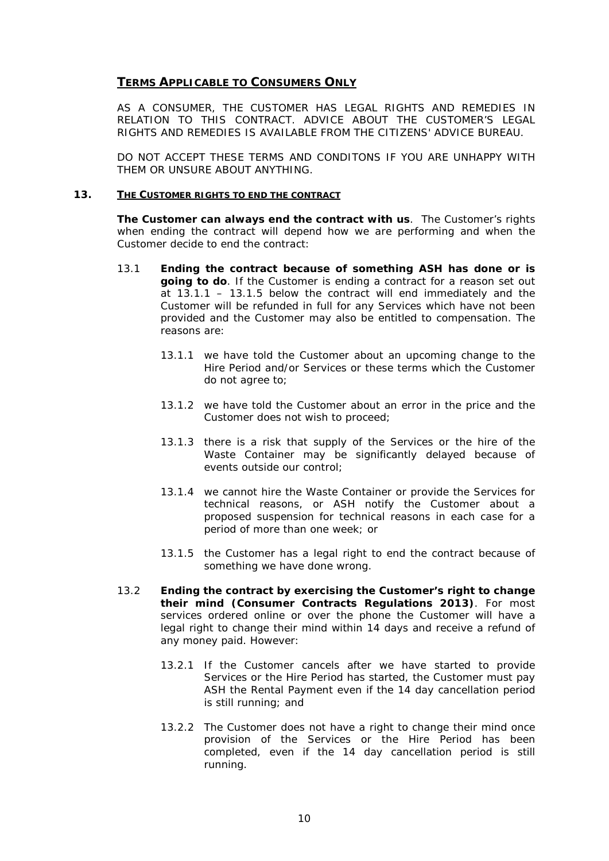# **TERMS APPLICABLE TO CONSUMERS ONLY**

AS A CONSUMER, THE CUSTOMER HAS LEGAL RIGHTS AND REMEDIES IN RELATION TO THIS CONTRACT. ADVICE ABOUT THE CUSTOMER'S LEGAL RIGHTS AND REMEDIES IS AVAILABLE FROM THE CITIZENS' ADVICE BUREAU.

DO NOT ACCEPT THESE TERMS AND CONDITONS IF YOU ARE UNHAPPY WITH THEM OR UNSURE ABOUT ANYTHING.

### **13. THE CUSTOMER RIGHTS TO END THE CONTRACT**

**The Customer can always end the contract with us**. The Customer's rights when ending the contract will depend how we are performing and when the Customer decide to end the contract:

- 13.1 **Ending the contract because of something ASH has done or is going to do**. If the Customer is ending a contract for a reason set out at 13.1.1 – 13.1.5 below the contract will end immediately and the Customer will be refunded in full for any Services which have not been provided and the Customer may also be entitled to compensation. The reasons are:
	- 13.1.1 we have told the Customer about an upcoming change to the Hire Period and/or Services or these terms which the Customer do not agree to;
	- 13.1.2 we have told the Customer about an error in the price and the Customer does not wish to proceed;
	- 13.1.3 there is a risk that supply of the Services or the hire of the Waste Container may be significantly delayed because of events outside our control;
	- 13.1.4 we cannot hire the Waste Container or provide the Services for technical reasons, or ASH notify the Customer about a proposed suspension for technical reasons in each case for a period of more than one week; or
	- 13.1.5 the Customer has a legal right to end the contract because of something we have done wrong.
- 13.2 **Ending the contract by exercising the Customer's right to change their mind (Consumer Contracts Regulations 2013)**. For most services ordered online or over the phone the Customer will have a legal right to change their mind within 14 days and receive a refund of any money paid. However:
	- 13.2.1 If the Customer cancels after we have started to provide Services or the Hire Period has started, the Customer must pay ASH the Rental Payment even if the 14 day cancellation period is still running; and
	- 13.2.2 The Customer does not have a right to change their mind once provision of the Services or the Hire Period has been completed, even if the 14 day cancellation period is still running.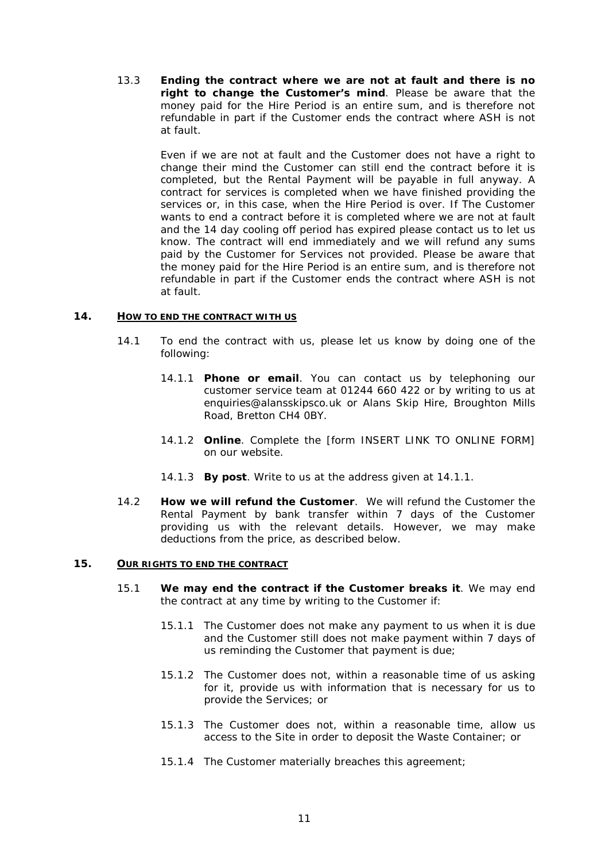13.3 **Ending the contract where we are not at fault and there is no right to change the Customer's mind**. Please be aware that the money paid for the Hire Period is an entire sum, and is therefore not refundable in part if the Customer ends the contract where ASH is not at fault.

> Even if we are not at fault and the Customer does not have a right to change their mind the Customer can still end the contract before it is completed, but the Rental Payment will be payable in full anyway. A contract for services is completed when we have finished providing the services or, in this case, when the Hire Period is over. If The Customer wants to end a contract before it is completed where we are not at fault and the 14 day cooling off period has expired please contact us to let us know. The contract will end immediately and we will refund any sums paid by the Customer for Services not provided. Please be aware that the money paid for the Hire Period is an entire sum, and is therefore not refundable in part if the Customer ends the contract where ASH is not at fault.

### **14. HOW TO END THE CONTRACT WITH US**

- 14.1 To end the contract with us, please let us know by doing one of the following:
	- 14.1.1 **Phone or email**. You can contact us by telephoning our customer service team at 01244 660 422 or by writing to us at [enquiries@alansskipsco.uk](mailto:enquiries@alansskipsco.uk) or Alans Skip Hire, Broughton Mills Road, Bretton CH4 0BY.
	- 14.1.2 **Online**. Complete the [form INSERT LINK TO ONLINE FORM] on our website.
	- 14.1.3 **By post**. Write to us at the address given at 14.1.1.
- 14.2 **How we will refund the Customer**. We will refund the Customer the Rental Payment by bank transfer within 7 days of the Customer providing us with the relevant details. However, we may make deductions from the price, as described below.

### <span id="page-10-0"></span>**15. OUR RIGHTS TO END THE CONTRACT**

- 15.1 **We may end the contract if the Customer breaks it**. We may end the contract at any time by writing to the Customer if:
	- 15.1.1 The Customer does not make any payment to us when it is due and the Customer still does not make payment within 7 days of us reminding the Customer that payment is due;
	- 15.1.2 The Customer does not, within a reasonable time of us asking for it, provide us with information that is necessary for us to provide the Services; or
	- 15.1.3 The Customer does not, within a reasonable time, allow us access to the Site in order to deposit the Waste Container; or
	- 15.1.4 The Customer materially breaches this agreement;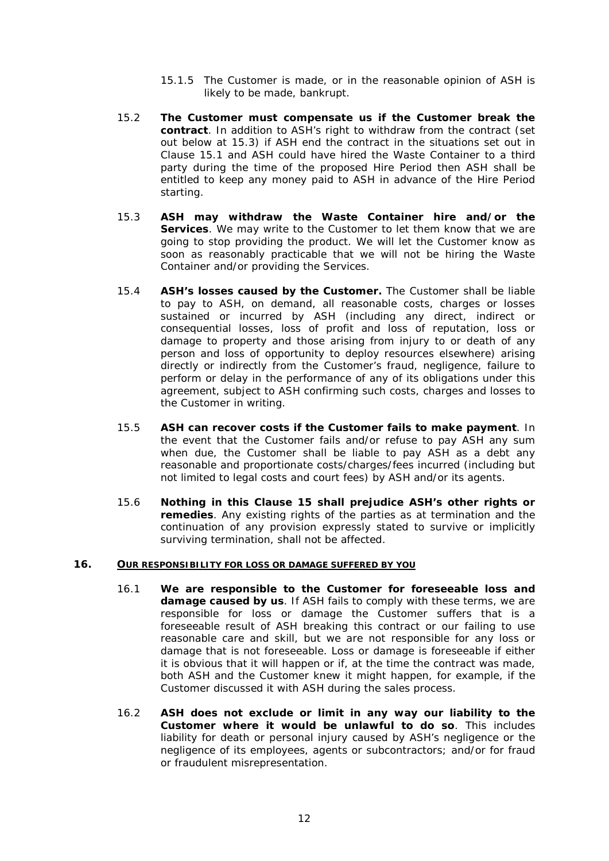- 15.1.5 The Customer is made, or in the reasonable opinion of ASH is likely to be made, bankrupt.
- 15.2 **The Customer must compensate us if the Customer break the contract**. In addition to ASH's right to withdraw from the contract (set out below at 15.3) if ASH end the contract in the situations set out in Clause [15.1](#page-10-0) and ASH could have hired the Waste Container to a third party during the time of the proposed Hire Period then ASH shall be entitled to keep any money paid to ASH in advance of the Hire Period starting.
- 15.3 **ASH may withdraw the Waste Container hire and/or the Services**. We may write to the Customer to let them know that we are going to stop providing the product. We will let the Customer know as soon as reasonably practicable that we will not be hiring the Waste Container and/or providing the Services.
- 15.4 **ASH's losses caused by the Customer.** The Customer shall be liable to pay to ASH, on demand, all reasonable costs, charges or losses sustained or incurred by ASH (including any direct, indirect or consequential losses, loss of profit and loss of reputation, loss or damage to property and those arising from injury to or death of any person and loss of opportunity to deploy resources elsewhere) arising directly or indirectly from the Customer's fraud, negligence, failure to perform or delay in the performance of any of its obligations under this agreement, subject to ASH confirming such costs, charges and losses to the Customer in writing.
- 15.5 **ASH can recover costs if the Customer fails to make payment**. In the event that the Customer fails and/or refuse to pay ASH any sum when due, the Customer shall be liable to pay ASH as a debt any reasonable and proportionate costs/charges/fees incurred (including but not limited to legal costs and court fees) by ASH and/or its agents.
- 15.6 **Nothing in this Clause 15 shall prejudice ASH's other rights or remedies**. Any existing rights of the parties as at termination and the continuation of any provision expressly stated to survive or implicitly surviving termination, shall not be affected.

### **16. OUR RESPONSIBILITY FOR LOSS OR DAMAGE SUFFERED BY YOU**

- 16.1 **We are responsible to the Customer for foreseeable loss and damage caused by us**. If ASH fails to comply with these terms, we are responsible for loss or damage the Customer suffers that is a foreseeable result of ASH breaking this contract or our failing to use reasonable care and skill, but we are not responsible for any loss or damage that is not foreseeable. Loss or damage is foreseeable if either it is obvious that it will happen or if, at the time the contract was made, both ASH and the Customer knew it might happen, for example, if the Customer discussed it with ASH during the sales process.
- 16.2 **ASH does not exclude or limit in any way our liability to the Customer where it would be unlawful to do so**. This includes liability for death or personal injury caused by ASH's negligence or the negligence of its employees, agents or subcontractors; and/or for fraud or fraudulent misrepresentation.